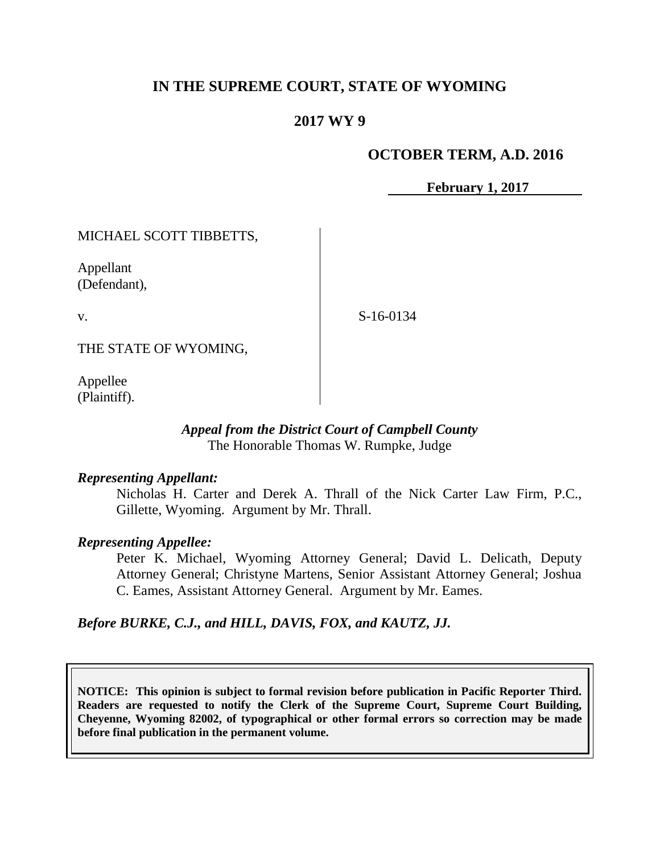# **IN THE SUPREME COURT, STATE OF WYOMING**

## **2017 WY 9**

### **OCTOBER TERM, A.D. 2016**

**February 1, 2017**

MICHAEL SCOTT TIBBETTS,

Appellant (Defendant),

v.

S-16-0134

THE STATE OF WYOMING,

Appellee (Plaintiff).

#### *Appeal from the District Court of Campbell County* The Honorable Thomas W. Rumpke, Judge

#### *Representing Appellant:*

Nicholas H. Carter and Derek A. Thrall of the Nick Carter Law Firm, P.C., Gillette, Wyoming. Argument by Mr. Thrall.

#### *Representing Appellee:*

Peter K. Michael, Wyoming Attorney General; David L. Delicath, Deputy Attorney General; Christyne Martens, Senior Assistant Attorney General; Joshua C. Eames, Assistant Attorney General. Argument by Mr. Eames.

#### *Before BURKE, C.J., and HILL, DAVIS, FOX, and KAUTZ, JJ.*

**NOTICE: This opinion is subject to formal revision before publication in Pacific Reporter Third. Readers are requested to notify the Clerk of the Supreme Court, Supreme Court Building, Cheyenne, Wyoming 82002, of typographical or other formal errors so correction may be made before final publication in the permanent volume.**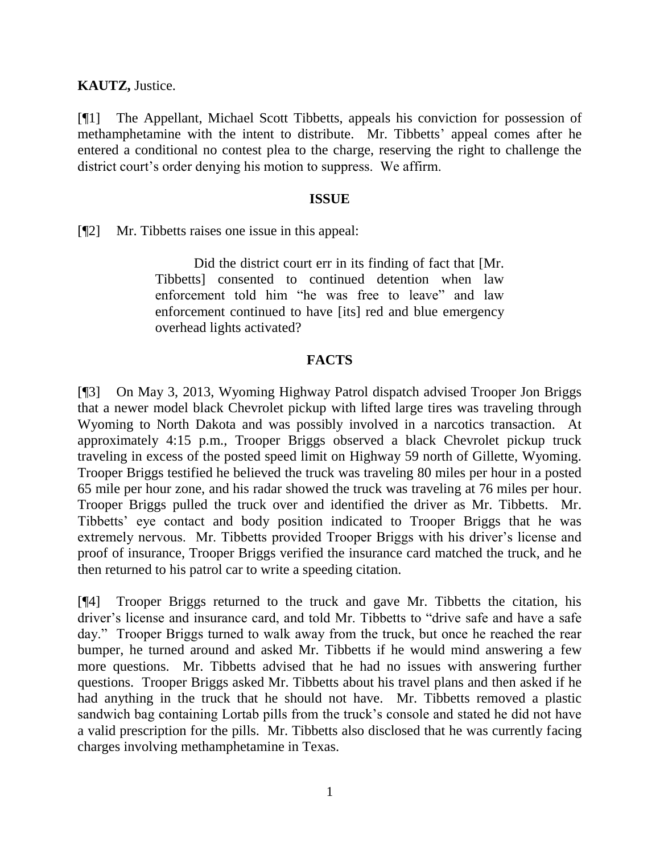**KAUTZ,** Justice.

[¶1] The Appellant, Michael Scott Tibbetts, appeals his conviction for possession of methamphetamine with the intent to distribute. Mr. Tibbetts' appeal comes after he entered a conditional no contest plea to the charge, reserving the right to challenge the district court's order denying his motion to suppress. We affirm.

#### **ISSUE**

[¶2] Mr. Tibbetts raises one issue in this appeal:

Did the district court err in its finding of fact that [Mr. Tibbetts] consented to continued detention when law enforcement told him "he was free to leave" and law enforcement continued to have [its] red and blue emergency overhead lights activated?

### **FACTS**

[¶3] On May 3, 2013, Wyoming Highway Patrol dispatch advised Trooper Jon Briggs that a newer model black Chevrolet pickup with lifted large tires was traveling through Wyoming to North Dakota and was possibly involved in a narcotics transaction. At approximately 4:15 p.m., Trooper Briggs observed a black Chevrolet pickup truck traveling in excess of the posted speed limit on Highway 59 north of Gillette, Wyoming. Trooper Briggs testified he believed the truck was traveling 80 miles per hour in a posted 65 mile per hour zone, and his radar showed the truck was traveling at 76 miles per hour. Trooper Briggs pulled the truck over and identified the driver as Mr. Tibbetts. Mr. Tibbetts' eye contact and body position indicated to Trooper Briggs that he was extremely nervous. Mr. Tibbetts provided Trooper Briggs with his driver's license and proof of insurance, Trooper Briggs verified the insurance card matched the truck, and he then returned to his patrol car to write a speeding citation.

[¶4] Trooper Briggs returned to the truck and gave Mr. Tibbetts the citation, his driver's license and insurance card, and told Mr. Tibbetts to "drive safe and have a safe day." Trooper Briggs turned to walk away from the truck, but once he reached the rear bumper, he turned around and asked Mr. Tibbetts if he would mind answering a few more questions. Mr. Tibbetts advised that he had no issues with answering further questions. Trooper Briggs asked Mr. Tibbetts about his travel plans and then asked if he had anything in the truck that he should not have. Mr. Tibbetts removed a plastic sandwich bag containing Lortab pills from the truck's console and stated he did not have a valid prescription for the pills. Mr. Tibbetts also disclosed that he was currently facing charges involving methamphetamine in Texas.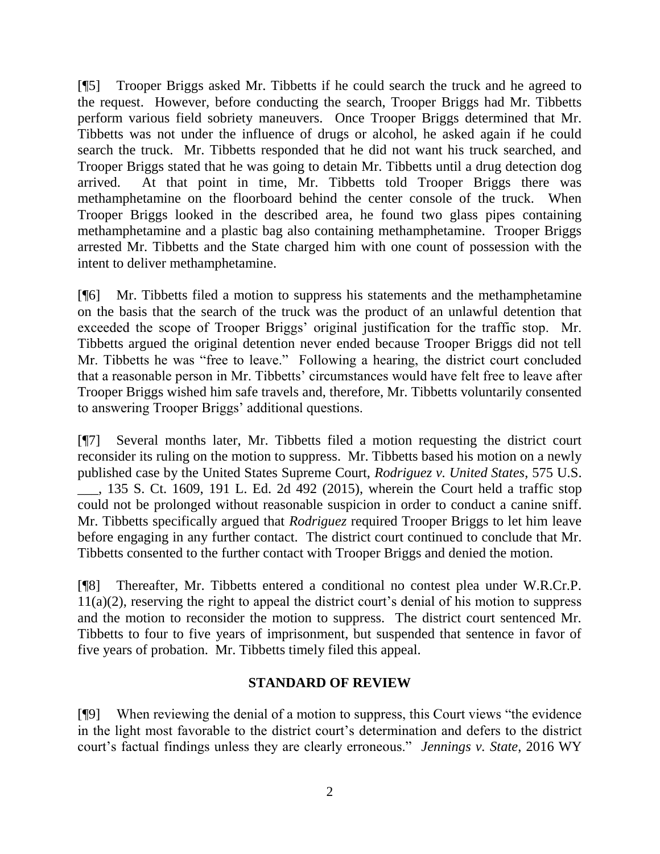[¶5] Trooper Briggs asked Mr. Tibbetts if he could search the truck and he agreed to the request. However, before conducting the search, Trooper Briggs had Mr. Tibbetts perform various field sobriety maneuvers. Once Trooper Briggs determined that Mr. Tibbetts was not under the influence of drugs or alcohol, he asked again if he could search the truck. Mr. Tibbetts responded that he did not want his truck searched, and Trooper Briggs stated that he was going to detain Mr. Tibbetts until a drug detection dog arrived. At that point in time, Mr. Tibbetts told Trooper Briggs there was methamphetamine on the floorboard behind the center console of the truck. When Trooper Briggs looked in the described area, he found two glass pipes containing methamphetamine and a plastic bag also containing methamphetamine. Trooper Briggs arrested Mr. Tibbetts and the State charged him with one count of possession with the intent to deliver methamphetamine.

[¶6] Mr. Tibbetts filed a motion to suppress his statements and the methamphetamine on the basis that the search of the truck was the product of an unlawful detention that exceeded the scope of Trooper Briggs' original justification for the traffic stop. Mr. Tibbetts argued the original detention never ended because Trooper Briggs did not tell Mr. Tibbetts he was "free to leave." Following a hearing, the district court concluded that a reasonable person in Mr. Tibbetts' circumstances would have felt free to leave after Trooper Briggs wished him safe travels and, therefore, Mr. Tibbetts voluntarily consented to answering Trooper Briggs' additional questions.

[¶7] Several months later, Mr. Tibbetts filed a motion requesting the district court reconsider its ruling on the motion to suppress. Mr. Tibbetts based his motion on a newly published case by the United States Supreme Court, *Rodriguez v. United States*, 575 U.S. \_\_\_, 135 S. Ct. 1609, 191 L. Ed. 2d 492 (2015), wherein the Court held a traffic stop could not be prolonged without reasonable suspicion in order to conduct a canine sniff. Mr. Tibbetts specifically argued that *Rodriguez* required Trooper Briggs to let him leave before engaging in any further contact. The district court continued to conclude that Mr. Tibbetts consented to the further contact with Trooper Briggs and denied the motion.

[¶8] Thereafter, Mr. Tibbetts entered a conditional no contest plea under W.R.Cr.P. 11(a)(2), reserving the right to appeal the district court's denial of his motion to suppress and the motion to reconsider the motion to suppress. The district court sentenced Mr. Tibbetts to four to five years of imprisonment, but suspended that sentence in favor of five years of probation. Mr. Tibbetts timely filed this appeal.

## **STANDARD OF REVIEW**

[¶9] When reviewing the denial of a motion to suppress, this Court views "the evidence in the light most favorable to the district court's determination and defers to the district court's factual findings unless they are clearly erroneous." *Jennings v. State*, 2016 WY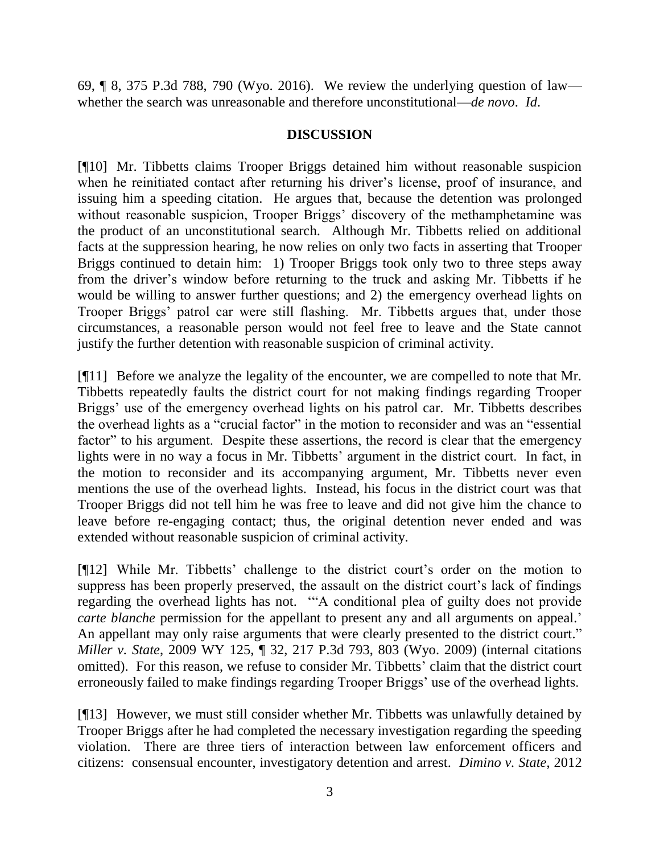69, ¶ 8, 375 P.3d 788, 790 (Wyo. 2016). We review the underlying question of law whether the search was unreasonable and therefore unconstitutional—*de novo*. *Id*.

### **DISCUSSION**

[¶10] Mr. Tibbetts claims Trooper Briggs detained him without reasonable suspicion when he reinitiated contact after returning his driver's license, proof of insurance, and issuing him a speeding citation. He argues that, because the detention was prolonged without reasonable suspicion, Trooper Briggs' discovery of the methamphetamine was the product of an unconstitutional search. Although Mr. Tibbetts relied on additional facts at the suppression hearing, he now relies on only two facts in asserting that Trooper Briggs continued to detain him: 1) Trooper Briggs took only two to three steps away from the driver's window before returning to the truck and asking Mr. Tibbetts if he would be willing to answer further questions; and 2) the emergency overhead lights on Trooper Briggs' patrol car were still flashing. Mr. Tibbetts argues that, under those circumstances, a reasonable person would not feel free to leave and the State cannot justify the further detention with reasonable suspicion of criminal activity.

[¶11] Before we analyze the legality of the encounter, we are compelled to note that Mr. Tibbetts repeatedly faults the district court for not making findings regarding Trooper Briggs' use of the emergency overhead lights on his patrol car. Mr. Tibbetts describes the overhead lights as a "crucial factor" in the motion to reconsider and was an "essential factor" to his argument. Despite these assertions, the record is clear that the emergency lights were in no way a focus in Mr. Tibbetts' argument in the district court. In fact, in the motion to reconsider and its accompanying argument, Mr. Tibbetts never even mentions the use of the overhead lights. Instead, his focus in the district court was that Trooper Briggs did not tell him he was free to leave and did not give him the chance to leave before re-engaging contact; thus, the original detention never ended and was extended without reasonable suspicion of criminal activity.

[¶12] While Mr. Tibbetts' challenge to the district court's order on the motion to suppress has been properly preserved, the assault on the district court's lack of findings regarding the overhead lights has not. '"A conditional plea of guilty does not provide *carte blanche* permission for the appellant to present any and all arguments on appeal.' An appellant may only raise arguments that were clearly presented to the district court." *Miller v. State*, 2009 WY 125, ¶ 32, 217 P.3d 793, 803 (Wyo. 2009) (internal citations omitted). For this reason, we refuse to consider Mr. Tibbetts' claim that the district court erroneously failed to make findings regarding Trooper Briggs' use of the overhead lights.

[¶13] However, we must still consider whether Mr. Tibbetts was unlawfully detained by Trooper Briggs after he had completed the necessary investigation regarding the speeding violation. There are three tiers of interaction between law enforcement officers and citizens: consensual encounter, investigatory detention and arrest. *Dimino v. State*, 2012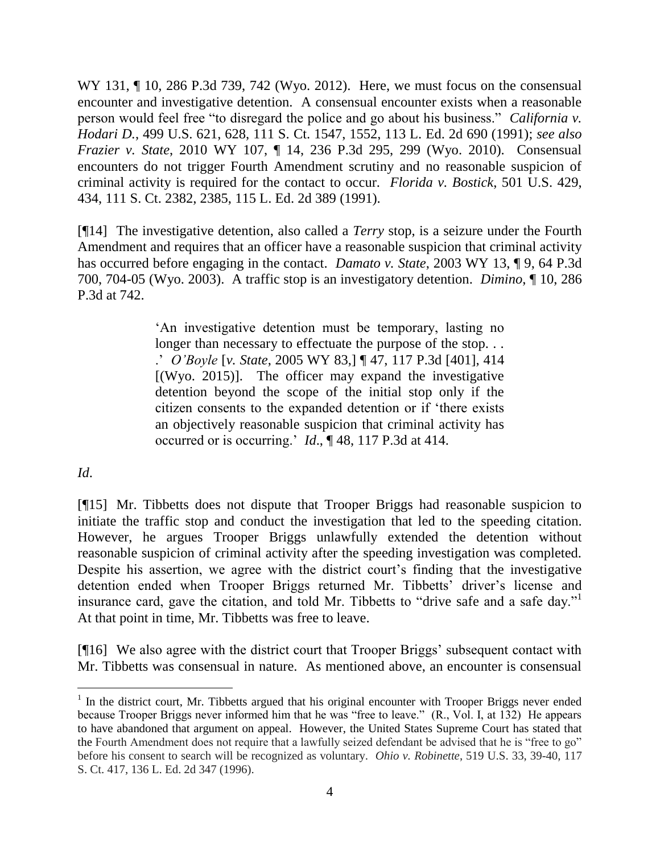WY 131, ¶ 10, 286 P.3d 739, 742 (Wyo. 2012). Here, we must focus on the consensual encounter and investigative detention. A consensual encounter exists when a reasonable person would feel free "to disregard the police and go about his business." *California v. Hodari D.*, 499 U.S. 621, 628, 111 S. Ct. 1547, 1552, 113 L. Ed. 2d 690 (1991); *see also Frazier v. State*, 2010 WY 107, ¶ 14, 236 P.3d 295, 299 (Wyo. 2010). Consensual encounters do not trigger Fourth Amendment scrutiny and no reasonable suspicion of criminal activity is required for the contact to occur. *Florida v. Bostick*, 501 U.S. 429, 434, 111 S. Ct. 2382, 2385, 115 L. Ed. 2d 389 (1991).

[¶14] The investigative detention, also called a *Terry* stop, is a seizure under the Fourth Amendment and requires that an officer have a reasonable suspicion that criminal activity has occurred before engaging in the contact. *Damato v. State*, 2003 WY 13, ¶ 9, 64 P.3d 700, 704-05 (Wyo. 2003). A traffic stop is an investigatory detention. *Dimino*, ¶ 10, 286 P.3d at 742.

> 'An investigative detention must be temporary, lasting no longer than necessary to effectuate the purpose of the stop... .' *O'Boyle* [*v. State*, 2005 WY 83,] ¶ 47, 117 P.3d [401], 414  $[(Wyo. 2015)]$ . The officer may expand the investigative detention beyond the scope of the initial stop only if the citizen consents to the expanded detention or if 'there exists an objectively reasonable suspicion that criminal activity has occurred or is occurring.' *Id*., ¶ 48, 117 P.3d at 414.

## *Id*.

[¶15] Mr. Tibbetts does not dispute that Trooper Briggs had reasonable suspicion to initiate the traffic stop and conduct the investigation that led to the speeding citation. However, he argues Trooper Briggs unlawfully extended the detention without reasonable suspicion of criminal activity after the speeding investigation was completed. Despite his assertion, we agree with the district court's finding that the investigative detention ended when Trooper Briggs returned Mr. Tibbetts' driver's license and insurance card, gave the citation, and told Mr. Tibbetts to "drive safe and a safe day."<sup>1</sup> At that point in time, Mr. Tibbetts was free to leave.

[¶16] We also agree with the district court that Trooper Briggs' subsequent contact with Mr. Tibbetts was consensual in nature. As mentioned above, an encounter is consensual

 $\overline{a}$  $1$  In the district court, Mr. Tibbetts argued that his original encounter with Trooper Briggs never ended because Trooper Briggs never informed him that he was "free to leave." (R., Vol. I, at 132) He appears to have abandoned that argument on appeal. However, the United States Supreme Court has stated that the Fourth Amendment does not require that a lawfully seized defendant be advised that he is "free to go" before his consent to search will be recognized as voluntary. *Ohio v. Robinette*, 519 U.S. 33, 39-40, 117 S. Ct. 417, 136 L. Ed. 2d 347 (1996).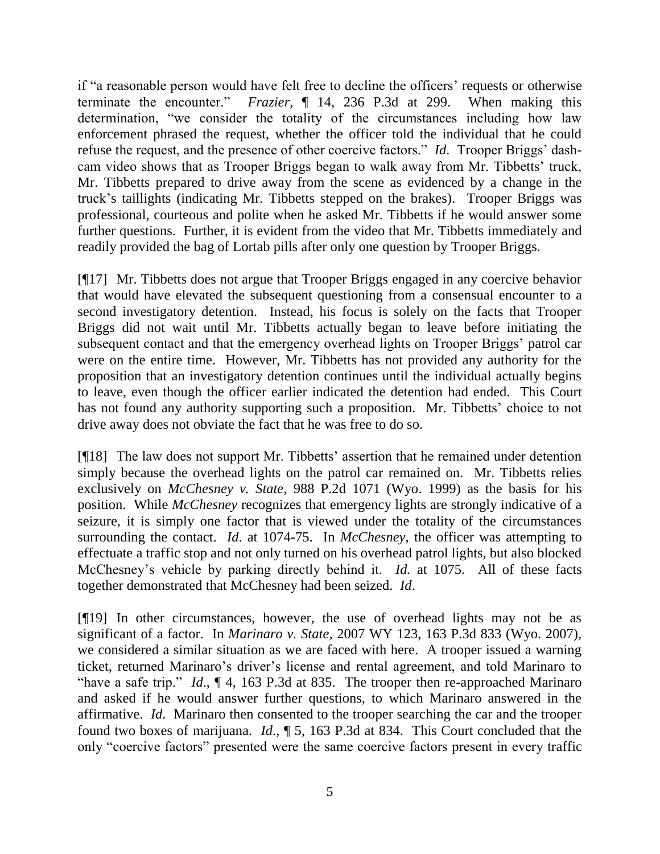if "a reasonable person would have felt free to decline the officers' requests or otherwise terminate the encounter." *Frazier*, ¶ 14, 236 P.3d at 299. When making this determination, "we consider the totality of the circumstances including how law enforcement phrased the request, whether the officer told the individual that he could refuse the request, and the presence of other coercive factors." *Id*. Trooper Briggs' dashcam video shows that as Trooper Briggs began to walk away from Mr. Tibbetts' truck, Mr. Tibbetts prepared to drive away from the scene as evidenced by a change in the truck's taillights (indicating Mr. Tibbetts stepped on the brakes). Trooper Briggs was professional, courteous and polite when he asked Mr. Tibbetts if he would answer some further questions. Further, it is evident from the video that Mr. Tibbetts immediately and readily provided the bag of Lortab pills after only one question by Trooper Briggs.

[¶17] Mr. Tibbetts does not argue that Trooper Briggs engaged in any coercive behavior that would have elevated the subsequent questioning from a consensual encounter to a second investigatory detention. Instead, his focus is solely on the facts that Trooper Briggs did not wait until Mr. Tibbetts actually began to leave before initiating the subsequent contact and that the emergency overhead lights on Trooper Briggs' patrol car were on the entire time. However, Mr. Tibbetts has not provided any authority for the proposition that an investigatory detention continues until the individual actually begins to leave, even though the officer earlier indicated the detention had ended. This Court has not found any authority supporting such a proposition. Mr. Tibbetts' choice to not drive away does not obviate the fact that he was free to do so.

[¶18] The law does not support Mr. Tibbetts' assertion that he remained under detention simply because the overhead lights on the patrol car remained on. Mr. Tibbetts relies exclusively on *McChesney v. State*, 988 P.2d 1071 (Wyo. 1999) as the basis for his position. While *McChesney* recognizes that emergency lights are strongly indicative of a seizure, it is simply one factor that is viewed under the totality of the circumstances surrounding the contact. *Id*. at 1074-75. In *McChesney*, the officer was attempting to effectuate a traffic stop and not only turned on his overhead patrol lights, but also blocked McChesney's vehicle by parking directly behind it. *Id.* at 1075. All of these facts together demonstrated that McChesney had been seized. *Id*.

[¶19] In other circumstances, however, the use of overhead lights may not be as significant of a factor. In *Marinaro v. State*, 2007 WY 123, 163 P.3d 833 (Wyo. 2007), we considered a similar situation as we are faced with here. A trooper issued a warning ticket, returned Marinaro's driver's license and rental agreement, and told Marinaro to "have a safe trip." *Id*., ¶ 4, 163 P.3d at 835. The trooper then re-approached Marinaro and asked if he would answer further questions, to which Marinaro answered in the affirmative. *Id*. Marinaro then consented to the trooper searching the car and the trooper found two boxes of marijuana. *Id*., ¶ 5, 163 P.3d at 834. This Court concluded that the only "coercive factors" presented were the same coercive factors present in every traffic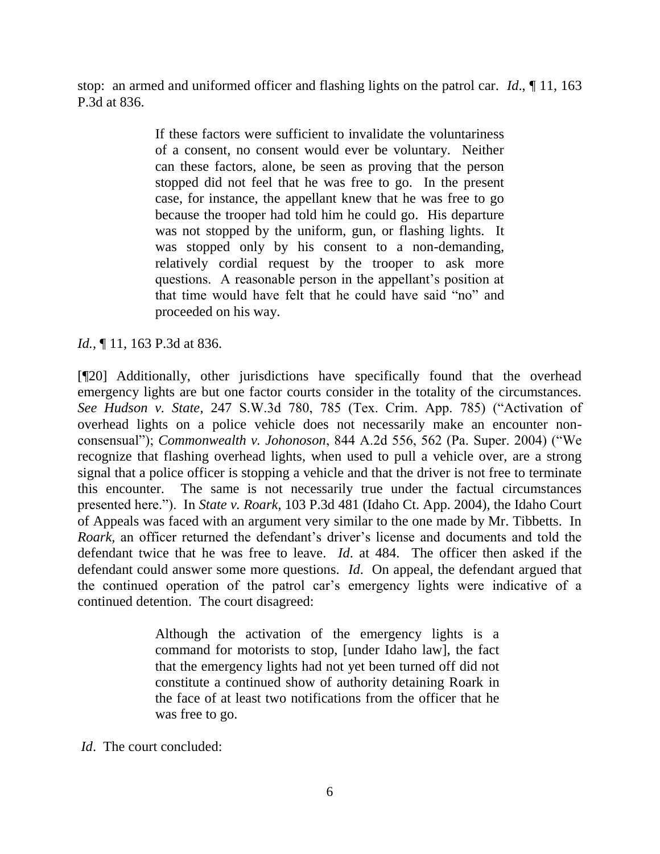stop: an armed and uniformed officer and flashing lights on the patrol car. *Id*., ¶ 11, 163 P.3d at 836.

> If these factors were sufficient to invalidate the voluntariness of a consent, no consent would ever be voluntary. Neither can these factors, alone, be seen as proving that the person stopped did not feel that he was free to go. In the present case, for instance, the appellant knew that he was free to go because the trooper had told him he could go. His departure was not stopped by the uniform, gun, or flashing lights. It was stopped only by his consent to a non-demanding, relatively cordial request by the trooper to ask more questions. A reasonable person in the appellant's position at that time would have felt that he could have said "no" and proceeded on his way.

## *Id.*, **[11, 163 P.3d at 836.**

[¶20] Additionally, other jurisdictions have specifically found that the overhead emergency lights are but one factor courts consider in the totality of the circumstances. *See Hudson v. State*, 247 S.W.3d 780, 785 (Tex. Crim. App. 785) ("Activation of overhead lights on a police vehicle does not necessarily make an encounter nonconsensual"); *Commonwealth v. Johonoson*, 844 A.2d 556, 562 (Pa. Super. 2004) ("We recognize that flashing overhead lights, when used to pull a vehicle over, are a strong signal that a police officer is stopping a vehicle and that the driver is not free to terminate this encounter. The same is not necessarily true under the factual circumstances presented here."). In *State v. Roark*, 103 P.3d 481 (Idaho Ct. App. 2004), the Idaho Court of Appeals was faced with an argument very similar to the one made by Mr. Tibbetts. In *Roark,* an officer returned the defendant's driver's license and documents and told the defendant twice that he was free to leave. *Id*. at 484. The officer then asked if the defendant could answer some more questions. *Id*. On appeal, the defendant argued that the continued operation of the patrol car's emergency lights were indicative of a continued detention. The court disagreed:

> Although the activation of the emergency lights is a command for motorists to stop, [under Idaho law], the fact that the emergency lights had not yet been turned off did not constitute a continued show of authority detaining Roark in the face of at least two notifications from the officer that he was free to go.

*Id*. The court concluded: